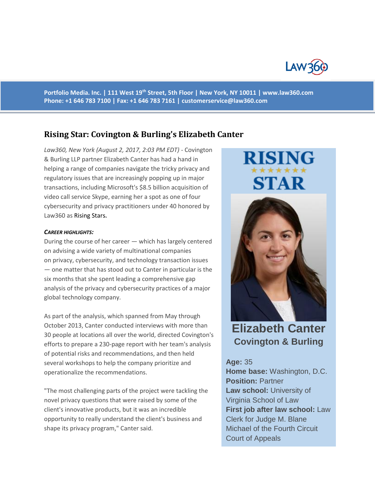

**Portfolio Media. Inc. | 111 West 19th Street, 5th Floor | New York, NY 10011 | www.law360.com Phone: +1 646 783 7100 | Fax: +1 646 783 7161 | [customerservice@law360.com](mailto:customerservice@law360.com)**

# **Rising Star: Covington & Burling's Elizabeth Canter**

*Law360, New York (August 2, 2017, 2:03 PM EDT) -* Covington & Burling LLP partner Elizabeth Canter has had a hand in helping a range of companies navigate the tricky privacy and regulatory issues that are increasingly popping up in major transactions, including Microsoft's \$8.5 billion acquisition of video call service Skype, earning her a spot as one of four cybersecurity and privacy practitioners under 40 honored by Law360 as Rising Stars**.**

### *CAREER HIGHLIGHTS:*

During the course of her career — which has largely centered on advising a wide variety of multinational companies on privacy, cybersecurity, and technology transaction issues — one matter that has stood out to Canter in particular is the six months that she spent leading a comprehensive gap analysis of the privacy and cybersecurity practices of a major global technology company.

As part of the analysis, which spanned from May through October 2013, Canter conducted interviews with more than 30 people at locations all over the world, directed Covington's efforts to prepare a 230-page report with her team's analysis of potential risks and recommendations, and then held several workshops to help the company prioritize and operationalize the recommendations.

"The most challenging parts of the project were tackling the novel privacy questions that were raised by some of the client's innovative products, but it was an incredible opportunity to really understand the client's business and shape its privacy program," Canter said.

# STAR



**Elizabeth Canter Covington & Burling**

## **Age:** 35

**Home base:** Washington, D.C. **Position:** Partner **Law school:** University of Virginia School of Law **First job after law school:** Law Clerk for Judge M. Blane Michael of the Fourth Circuit Court of Appeals